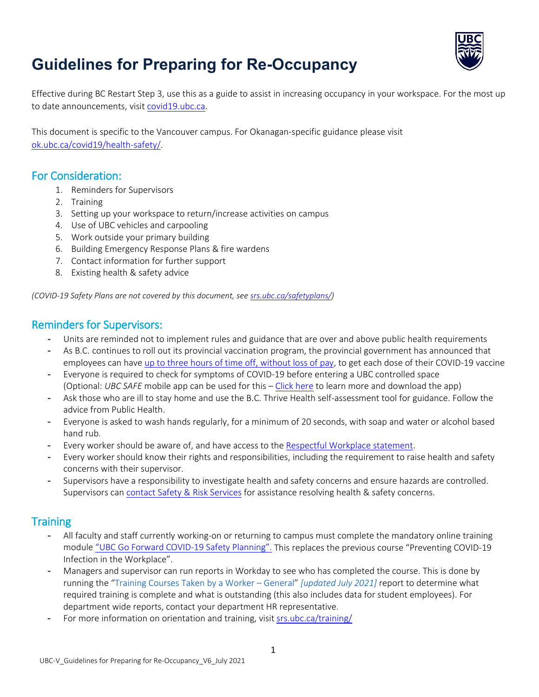

# **Guidelines for Preparing for Re-Occupancy**

Effective during BC Restart Step 3, use this as a guide to assist in increasing occupancy in your workspace. For the most up to date announcements, visit [covid19.ubc.ca.](https://covid19.ubc.ca/)

This document is specific to the Vancouver campus. For Okanagan-specific guidance please visit [ok.ubc.ca/covid19/health-safety/.](https://ok.ubc.ca/covid19/health-safety/)

### For Consideration:

- 1. Reminders for Supervisors
- 2. Training
- 3. Setting up your workspace to return/increase activities on campus
- 4. Use of UBC vehicles and carpooling
- 5. Work outside your primary building
- 6. Building Emergency Response Plans & fire wardens
- 7. Contact information for further support
- 8. Existing health & safety advice

*(COVID-19 Safety Plans are not covered by this document, se[e srs.ubc.ca/safetyplans/\)](https://srs.ubc.ca/safetyplans/)*

### Reminders for Supervisors:

- Units are reminded not to implement rules and guidance that are over and above public health requirements
- As B.C. continues to roll out its provincial vaccination program, the provincial government has announced that employees can have [up to three hours of time off, without loss of pay,](https://ubctoday.ubc.ca/news/may-05-2021/scheduling-time-covid-19-vaccination-appointments) to get each dose of their COVID-19 vaccine
- Everyone is required to check for symptoms of COVID-19 before entering a UBC controlled space (Optional: *UBC SAFE* mobile app can be used for this – [Click here](https://srs.ubc.ca/health-safety/ubc-safe-vancouver-app/) to learn more and download the app)
- Ask those who are ill to stay home and use the B.C. Thrive Health self-assessment tool for guidance. Follow the advice from Public Health.
- Everyone is asked to wash hands regularly, for a minimum of 20 seconds, with soap and water or alcohol based hand rub.
- Every worker should be aware of, and have access to the [Respectful Workplace statement.](https://riskmanagement.sites.olt.ubc.ca/files/2021/06/Covid19_Safety_Behaviours.pdf)
- Every worker should know their rights and responsibilities, including the requirement to raise health and safety concerns with their supervisor.
- Supervisors have a responsibility to investigate health and safety concerns and ensure hazards are controlled. Supervisors ca[n contact Safety & Risk Services](https://srs.ubc.ca/contact-us/) for assistance resolving health & safety concerns.

# **Training**

- All faculty and staff currently working-on or returning to campus must complete the mandatory online training module ["UBC Go Forward COVID-19 Safety Planning".](https://srs.ubc.ca/campusrules) This replaces the previous course "Preventing COVID-19 Infection in the Workplace".
- Managers and supervisor can run reports in Workday to see who has completed the course. This is done by running the "Training Courses Taken by a Worker – General" *[updated July 2021]* report to determine what required training is complete and what is outstanding (this also includes data for student employees). For department wide reports, contact your department HR representative.
- For more information on orientation and training, visit [srs.ubc.ca/training/](https://srs.ubc.ca/training/)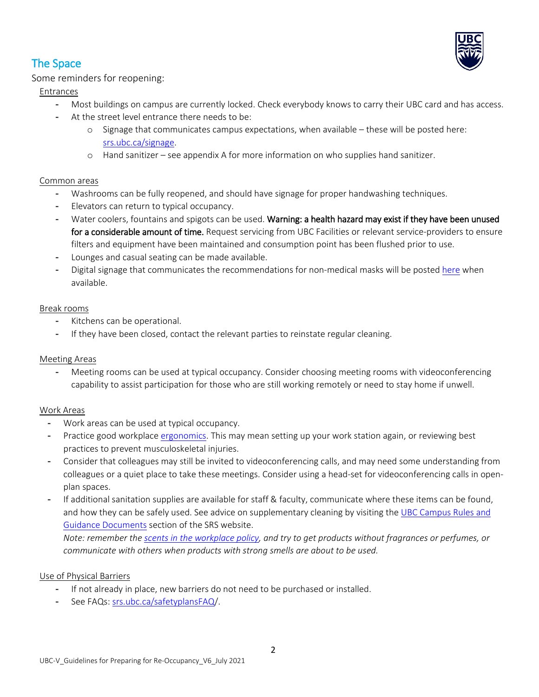

# The Space

Some reminders for reopening:

Entrances

- Most buildings on campus are currently locked. Check everybody knows to carry their UBC card and has access.
- At the street level entrance there needs to be:
	- o Signage that communicates campus expectations, when available these will be posted here: [srs.ubc.ca/signage.](https://srs.ubc.ca/signage)
	- o Hand sanitizer see appendix A for more information on who supplies hand sanitizer.

#### Common areas

- Washrooms can be fully reopened, and should have signage for proper handwashing techniques.
- Elevators can return to typical occupancy.
- Water coolers, fountains and spigots can be used. Warning: a health hazard may exist if they have been unused for a considerable amount of time. Request servicing from UBC Facilities or relevant service-providers to ensure filters and equipment have been maintained and consumption point has been flushed prior to use.
- Lounges and casual seating can be made available.
- Digital signage that communicates the recommendations for non-medical masks will be posted [here](https://srs.ubc.ca/covid-19/digital-and-print-signage/) when available.

#### Break rooms

- Kitchens can be operational.
- If they have been closed, contact the relevant parties to reinstate regular cleaning.

#### Meeting Areas

Meeting rooms can be used at typical occupancy. Consider choosing meeting rooms with videoconferencing capability to assist participation for those who are still working remotely or need to stay home if unwell.

#### Work Areas

- Work areas can be used at typical occupancy.
- Practice good workplace [ergonomics.](https://hr.ubc.ca/health-and-wellbeing/ergonomics) This may mean setting up your work station again, or reviewing best practices to prevent musculoskeletal injuries.
- Consider that colleagues may still be invited to videoconferencing calls, and may need some understanding from colleagues or a quiet place to take these meetings. Consider using a head-set for videoconferencing calls in openplan spaces.
- If additional sanitation supplies are available for staff & faculty, communicate where these items can be found, and how they can be safely used. See advice on supplementary cleaning by visiting the [UBC Campus Rules and](https://srs.ubc.ca/ubc-campus-rules-guidance-documents/)  [Guidance Documents](https://srs.ubc.ca/ubc-campus-rules-guidance-documents/) section of the SRS website.

*Note: remember the [scents in the workplace policy,](https://srs.ubc.ca/health-safety/occupational-hygiene/scents-in-the-workplace/) and try to get products without fragrances or perfumes, or communicate with others when products with strong smells are about to be used.* 

#### Use of Physical Barriers

- If not already in place, new barriers do not need to be purchased or installed.
- See FAQs[: srs.ubc.ca/safetyplansFAQ/](https://srs.ubc.ca/safetyplansFAQ).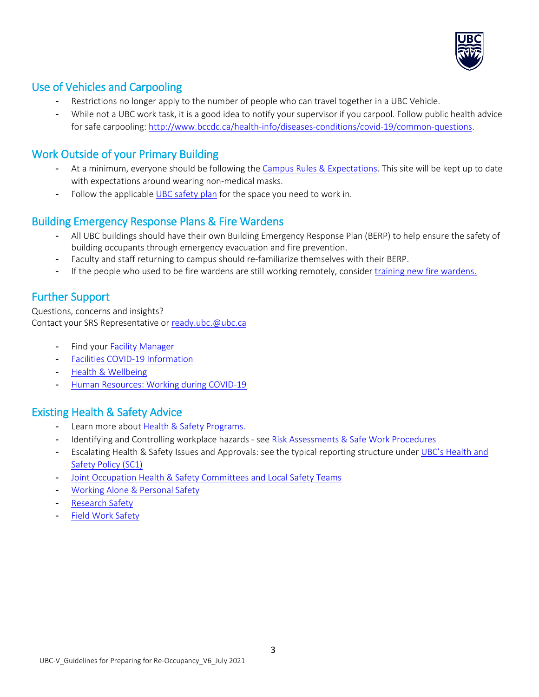

# Use of Vehicles and Carpooling

- Restrictions no longer apply to the number of people who can travel together in a UBC Vehicle.
- While not a UBC work task, it is a good idea to notify your supervisor if you carpool. Follow public health advice for safe carpooling: [http://www.bccdc.ca/health-info/diseases-conditions/covid-19/common-questions.](http://www.bccdc.ca/health-info/diseases-conditions/covid-19/common-questions)

# Work Outside of your Primary Building

- At a minimum, everyone should be following the [Campus Rules & Expectations.](https://srs.ubc.ca/campusrules) This site will be kept up to date with expectations around wearing non-medical masks.
- Follow the applicable [UBC safety plan](https://srs.ubc.ca/safetyplans/) for the space you need to work in.

# Building Emergency Response Plans & Fire Wardens

- All UBC buildings should have their own Building Emergency Response Plan (BERP) to help ensure the safety of building occupants through emergency evacuation and fire prevention.
- Faculty and staff returning to campus should re-familiarize themselves with their BERP.
- If the people who used to be fire wardens are still working remotely, consider [training new fire wardens.](https://wpl.ubc.ca/browse/srs/epc/courses/wpl-srs-fwtc)

# Further Support

Questions, concerns and insights? Contact your SRS Representative or [ready.ubc.@ubc.ca](mailto:ready.ubc.@ubc.ca)

- Find your **Facility Manager**
- [Facilities COVID-19 Information](https://facilities.ubc.ca/covid-19/about-your-building/)
- [Health & Wellbeing](https://wellbeing.ubc.ca/)
- [Human Resources: Working during COVID-19](https://hr.ubc.ca/working-ubc/working-during-covid-19)

# Existing Health & Safety Advice

- Learn more about [Health & Safety Programs.](https://srs.ubc.ca/health-safety/safety-programs/)
- Identifying and Controlling workplace hazards see [Risk Assessments & Safe Work Procedures](https://srs.ubc.ca/health-safety/safety-programs/risk-assessment-safe-work-procedure/)
- Escalating Health & Safety Issues and Approvals: see the typical reporting structure unde[r UBC's Health and](https://universitycounsel-2015.sites.olt.ubc.ca/files/2019/08/HealthSafety-Accountability-at-UBC-Dec-4-2018.pdf)  [Safety Policy \(SC1\)](https://universitycounsel-2015.sites.olt.ubc.ca/files/2019/08/HealthSafety-Accountability-at-UBC-Dec-4-2018.pdf)
- [Joint Occupation Health & Safety Committees and Local Safety Teams](http://safetycommittees.ubc.ca/)
- [Working Alone & Personal Safety](https://srs.ubc.ca/health-safety/safety-programs/personal-safety/)
- [Research Safety](https://srs.ubc.ca/health-safety/research-safety/)
- [Field Work Safety](https://srs.ubc.ca/health-safety/safety-programs/field-work-safety/)